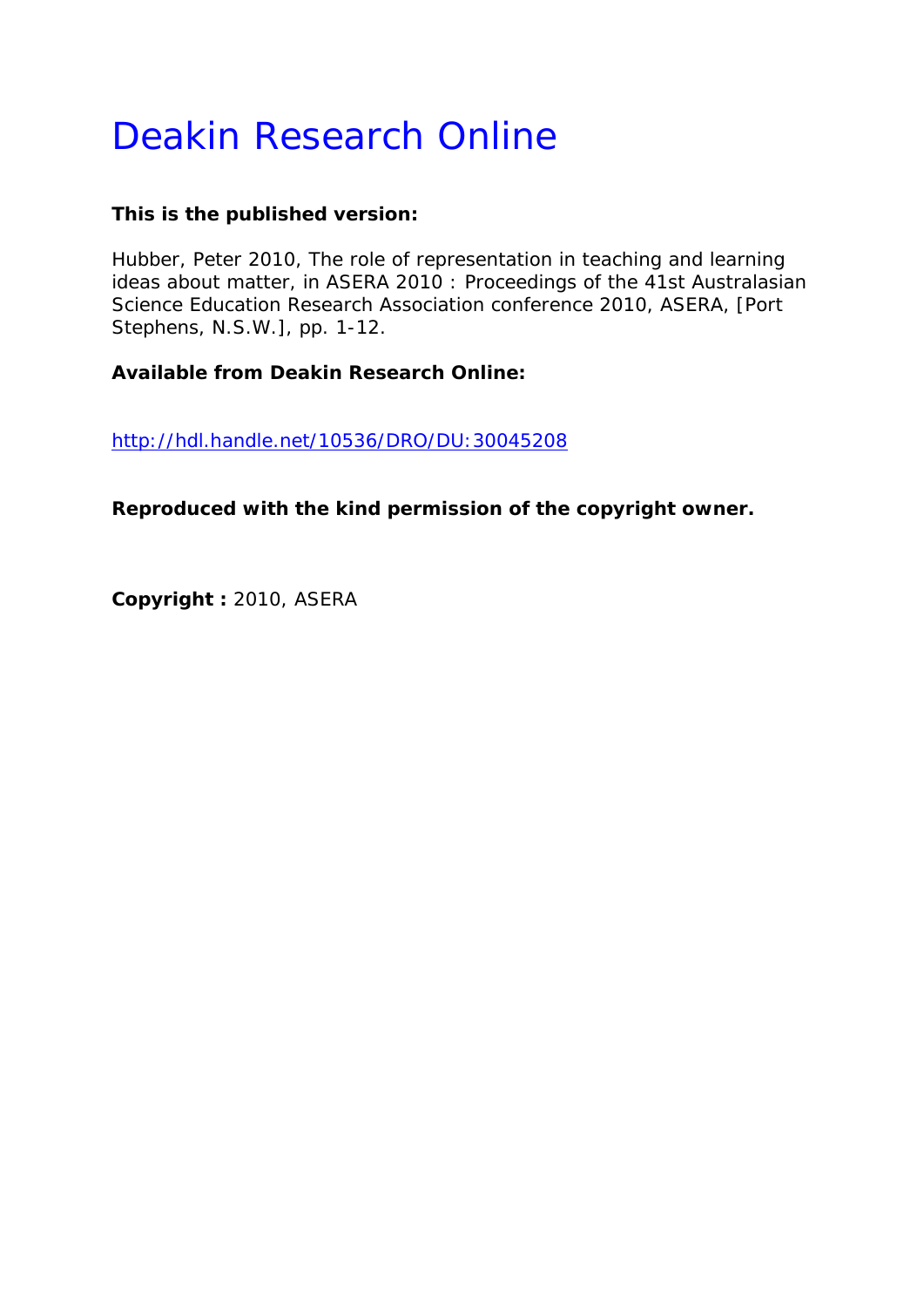# Deakin Research Online

## **This is the published version:**

Hubber, Peter 2010, The role of representation in teaching and learning ideas about matter*, in ASERA 2010 : Proceedings of the 41st Australasian Science Education Research Association conference 2010*, ASERA, [Port Stephens, N.S.W.], pp. 1-12.

**Available from Deakin Research Online:** 

http://hdl.handle.net/10536/DRO/DU:30045208

**Reproduced with the kind permission of the copyright owner.** 

**Copyright :** 2010, ASERA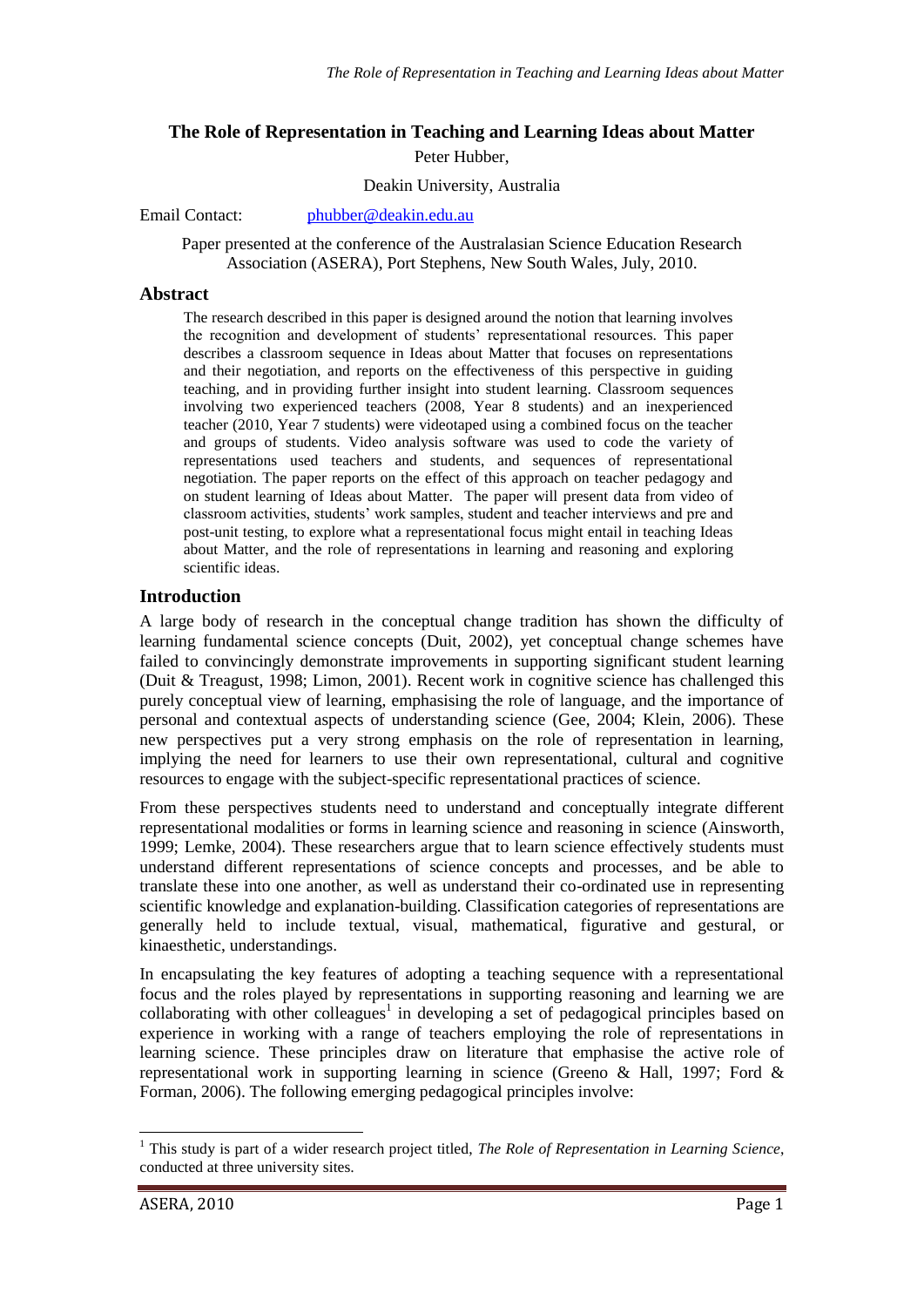## **The Role of Representation in Teaching and Learning Ideas about Matter** Peter Hubber,

#### Deakin University, Australia

Email Contact: [phubber@deakin.edu.au](mailto:pubber@deakin.edu.au)

Paper presented at the conference of the Australasian Science Education Research Association (ASERA), Port Stephens, New South Wales, July, 2010.

#### **Abstract**

The research described in this paper is designed around the notion that learning involves the recognition and development of students' representational resources. This paper describes a classroom sequence in Ideas about Matter that focuses on representations and their negotiation, and reports on the effectiveness of this perspective in guiding teaching, and in providing further insight into student learning. Classroom sequences involving two experienced teachers (2008, Year 8 students) and an inexperienced teacher (2010, Year 7 students) were videotaped using a combined focus on the teacher and groups of students. Video analysis software was used to code the variety of representations used teachers and students, and sequences of representational negotiation. The paper reports on the effect of this approach on teacher pedagogy and on student learning of Ideas about Matter. The paper will present data from video of classroom activities, students' work samples, student and teacher interviews and pre and post-unit testing, to explore what a representational focus might entail in teaching Ideas about Matter, and the role of representations in learning and reasoning and exploring scientific ideas.

#### **Introduction**

A large body of research in the conceptual change tradition has shown the difficulty of learning fundamental science concepts (Duit, 2002), yet conceptual change schemes have failed to convincingly demonstrate improvements in supporting significant student learning (Duit & Treagust, 1998; Limon, 2001). Recent work in cognitive science has challenged this purely conceptual view of learning, emphasising the role of language, and the importance of personal and contextual aspects of understanding science (Gee, 2004; Klein, 2006). These new perspectives put a very strong emphasis on the role of representation in learning, implying the need for learners to use their own representational, cultural and cognitive resources to engage with the subject-specific representational practices of science.

From these perspectives students need to understand and conceptually integrate different representational modalities or forms in learning science and reasoning in science (Ainsworth, 1999; Lemke, 2004). These researchers argue that to learn science effectively students must understand different representations of science concepts and processes, and be able to translate these into one another, as well as understand their co-ordinated use in representing scientific knowledge and explanation-building. Classification categories of representations are generally held to include textual, visual, mathematical, figurative and gestural, or kinaesthetic, understandings.

In encapsulating the key features of adopting a teaching sequence with a representational focus and the roles played by representations in supporting reasoning and learning we are collaborating with other colleagues<sup>1</sup> in developing a set of pedagogical principles based on experience in working with a range of teachers employing the role of representations in learning science. These principles draw on literature that emphasise the active role of representational work in supporting learning in science (Greeno & Hall, 1997; Ford & Forman, 2006). The following emerging pedagogical principles involve:

-

<sup>&</sup>lt;sup>1</sup> This study is part of a wider research project titled, *The Role of Representation in Learning Science*, conducted at three university sites.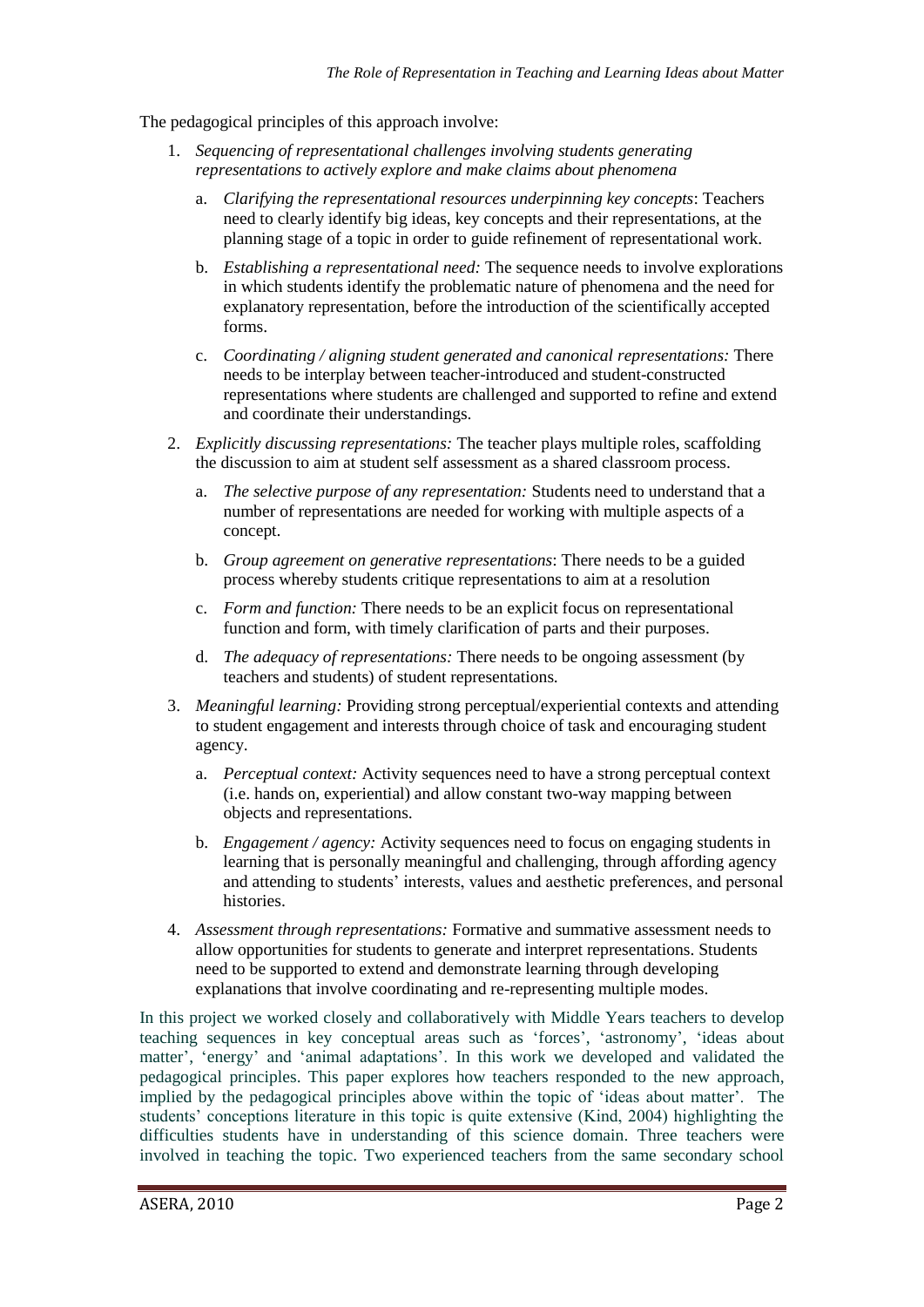The pedagogical principles of this approach involve:

- 1. *Sequencing of representational challenges involving students generating representations to actively explore and make claims about phenomena*
	- a. *Clarifying the representational resources underpinning key concepts*: Teachers need to clearly identify big ideas, key concepts and their representations, at the planning stage of a topic in order to guide refinement of representational work.
	- b. *Establishing a representational need:* The sequence needs to involve explorations in which students identify the problematic nature of phenomena and the need for explanatory representation, before the introduction of the scientifically accepted forms.
	- c. *Coordinating / aligning student generated and canonical representations:* There needs to be interplay between teacher-introduced and student-constructed representations where students are challenged and supported to refine and extend and coordinate their understandings.
- 2. *Explicitly discussing representations:* The teacher plays multiple roles, scaffolding the discussion to aim at student self assessment as a shared classroom process.
	- a. *The selective purpose of any representation:* Students need to understand that a number of representations are needed for working with multiple aspects of a concept.
	- b. *Group agreement on generative representations*: There needs to be a guided process whereby students critique representations to aim at a resolution
	- c. *Form and function:* There needs to be an explicit focus on representational function and form, with timely clarification of parts and their purposes.
	- d. *The adequacy of representations:* There needs to be ongoing assessment (by teachers and students) of student representations.
- 3. *Meaningful learning:* Providing strong perceptual/experiential contexts and attending to student engagement and interests through choice of task and encouraging student agency.
	- a. *Perceptual context:* Activity sequences need to have a strong perceptual context (i.e. hands on, experiential) and allow constant two-way mapping between objects and representations.
	- b. *Engagement / agency:* Activity sequences need to focus on engaging students in learning that is personally meaningful and challenging, through affording agency and attending to students' interests, values and aesthetic preferences, and personal histories.
- 4. *Assessment through representations:* Formative and summative assessment needs to allow opportunities for students to generate and interpret representations. Students need to be supported to extend and demonstrate learning through developing explanations that involve coordinating and re-representing multiple modes.

In this project we worked closely and collaboratively with Middle Years teachers to develop teaching sequences in key conceptual areas such as 'forces', 'astronomy', 'ideas about matter', 'energy' and 'animal adaptations'. In this work we developed and validated the pedagogical principles. This paper explores how teachers responded to the new approach, implied by the pedagogical principles above within the topic of 'ideas about matter'. The students' conceptions literature in this topic is quite extensive (Kind, 2004) highlighting the difficulties students have in understanding of this science domain. Three teachers were involved in teaching the topic. Two experienced teachers from the same secondary school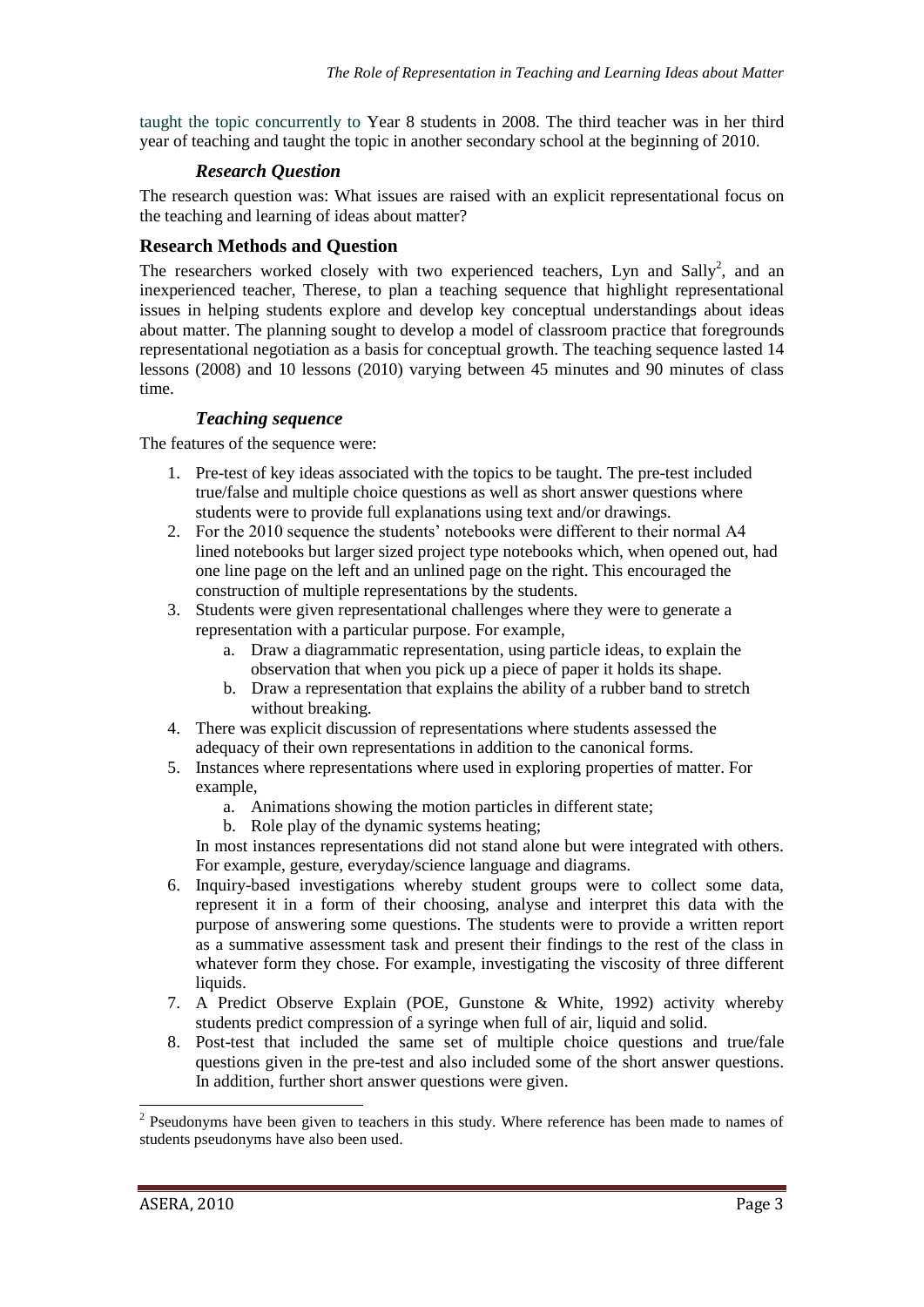taught the topic concurrently to Year 8 students in 2008. The third teacher was in her third year of teaching and taught the topic in another secondary school at the beginning of 2010.

## *Research Question*

The research question was: What issues are raised with an explicit representational focus on the teaching and learning of ideas about matter?

## **Research Methods and Question**

The researchers worked closely with two experienced teachers, Lyn and Sally<sup>2</sup>, and an inexperienced teacher, Therese, to plan a teaching sequence that highlight representational issues in helping students explore and develop key conceptual understandings about ideas about matter. The planning sought to develop a model of classroom practice that foregrounds representational negotiation as a basis for conceptual growth. The teaching sequence lasted 14 lessons (2008) and 10 lessons (2010) varying between 45 minutes and 90 minutes of class time.

## *Teaching sequence*

The features of the sequence were:

- 1. Pre-test of key ideas associated with the topics to be taught. The pre-test included true/false and multiple choice questions as well as short answer questions where students were to provide full explanations using text and/or drawings.
- 2. For the 2010 sequence the students' notebooks were different to their normal A4 lined notebooks but larger sized project type notebooks which, when opened out, had one line page on the left and an unlined page on the right. This encouraged the construction of multiple representations by the students.
- 3. Students were given representational challenges where they were to generate a representation with a particular purpose. For example,
	- a. Draw a diagrammatic representation, using particle ideas, to explain the observation that when you pick up a piece of paper it holds its shape.
	- b. Draw a representation that explains the ability of a rubber band to stretch without breaking.
- 4. There was explicit discussion of representations where students assessed the adequacy of their own representations in addition to the canonical forms.
- 5. Instances where representations where used in exploring properties of matter. For example,
	- a. Animations showing the motion particles in different state;
	- b. Role play of the dynamic systems heating;

In most instances representations did not stand alone but were integrated with others. For example, gesture, everyday/science language and diagrams.

- 6. Inquiry-based investigations whereby student groups were to collect some data, represent it in a form of their choosing, analyse and interpret this data with the purpose of answering some questions. The students were to provide a written report as a summative assessment task and present their findings to the rest of the class in whatever form they chose. For example, investigating the viscosity of three different liquids.
- 7. A Predict Observe Explain (POE, Gunstone & White, 1992) activity whereby students predict compression of a syringe when full of air, liquid and solid.
- 8. Post-test that included the same set of multiple choice questions and true/fale questions given in the pre-test and also included some of the short answer questions. In addition, further short answer questions were given.

<sup>&</sup>lt;sup>2</sup> Pseudonyms have been given to teachers in this study. Where reference has been made to names of students pseudonyms have also been used.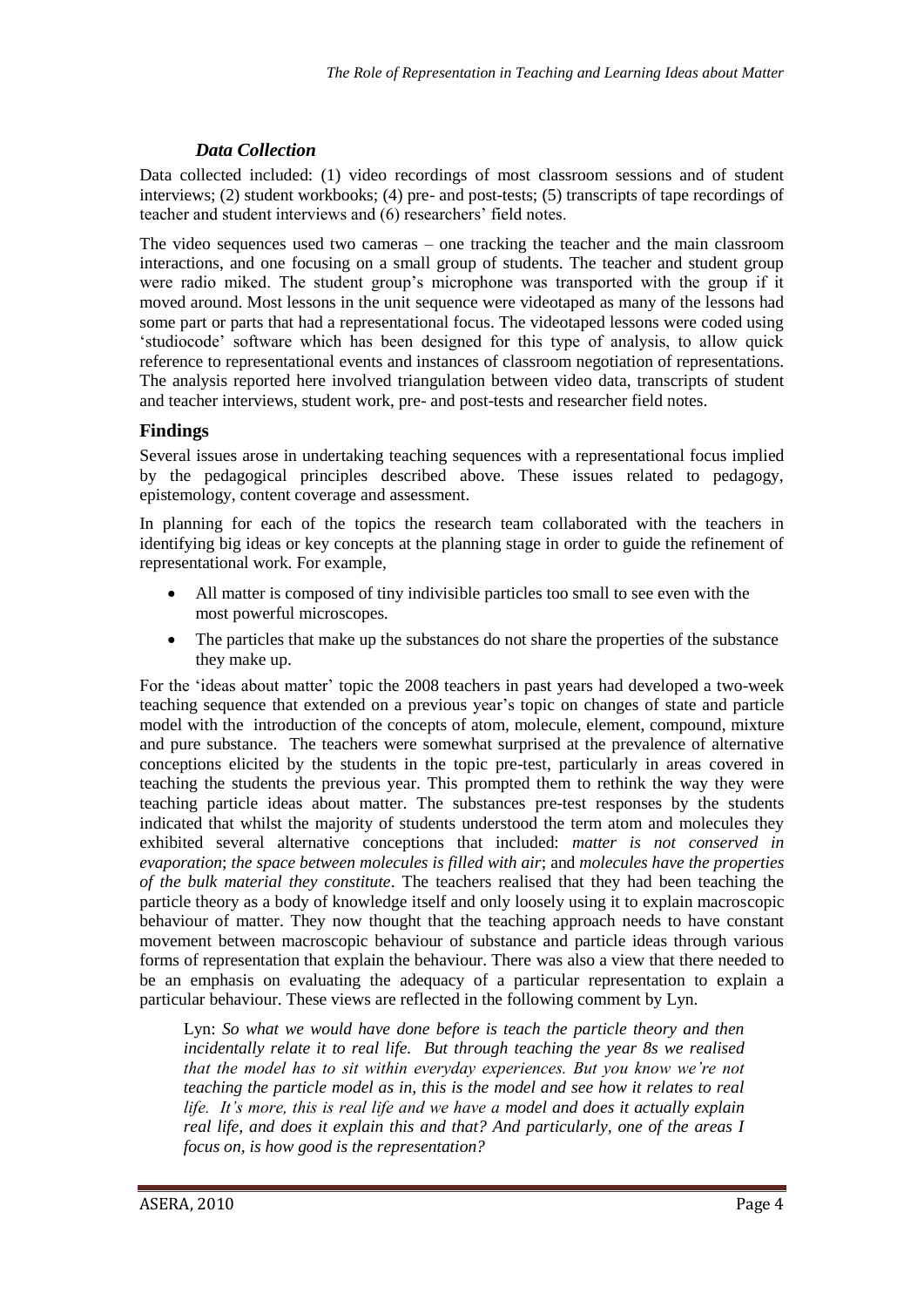## *Data Collection*

Data collected included: (1) video recordings of most classroom sessions and of student interviews; (2) student workbooks; (4) pre- and post-tests; (5) transcripts of tape recordings of teacher and student interviews and (6) researchers' field notes.

The video sequences used two cameras – one tracking the teacher and the main classroom interactions, and one focusing on a small group of students. The teacher and student group were radio miked. The student group's microphone was transported with the group if it moved around. Most lessons in the unit sequence were videotaped as many of the lessons had some part or parts that had a representational focus. The videotaped lessons were coded using 'studiocode' software which has been designed for this type of analysis, to allow quick reference to representational events and instances of classroom negotiation of representations. The analysis reported here involved triangulation between video data, transcripts of student and teacher interviews, student work, pre- and post-tests and researcher field notes.

## **Findings**

Several issues arose in undertaking teaching sequences with a representational focus implied by the pedagogical principles described above. These issues related to pedagogy, epistemology, content coverage and assessment.

In planning for each of the topics the research team collaborated with the teachers in identifying big ideas or key concepts at the planning stage in order to guide the refinement of representational work. For example,

- All matter is composed of tiny indivisible particles too small to see even with the most powerful microscopes.
- The particles that make up the substances do not share the properties of the substance they make up.

For the 'ideas about matter' topic the 2008 teachers in past years had developed a two-week teaching sequence that extended on a previous year's topic on changes of state and particle model with the introduction of the concepts of atom, molecule, element, compound, mixture and pure substance. The teachers were somewhat surprised at the prevalence of alternative conceptions elicited by the students in the topic pre-test, particularly in areas covered in teaching the students the previous year. This prompted them to rethink the way they were teaching particle ideas about matter. The substances pre-test responses by the students indicated that whilst the majority of students understood the term atom and molecules they exhibited several alternative conceptions that included: *matter is not conserved in evaporation*; *the space between molecules is filled with air*; and *molecules have the properties of the bulk material they constitute*. The teachers realised that they had been teaching the particle theory as a body of knowledge itself and only loosely using it to explain macroscopic behaviour of matter. They now thought that the teaching approach needs to have constant movement between macroscopic behaviour of substance and particle ideas through various forms of representation that explain the behaviour. There was also a view that there needed to be an emphasis on evaluating the adequacy of a particular representation to explain a particular behaviour. These views are reflected in the following comment by Lyn.

Lyn: *So what we would have done before is teach the particle theory and then incidentally relate it to real life. But through teaching the year 8s we realised that the model has to sit within everyday experiences. But you know we're not teaching the particle model as in, this is the model and see how it relates to real life. It's more, this is real life and we have a model and does it actually explain real life, and does it explain this and that? And particularly, one of the areas I focus on, is how good is the representation?*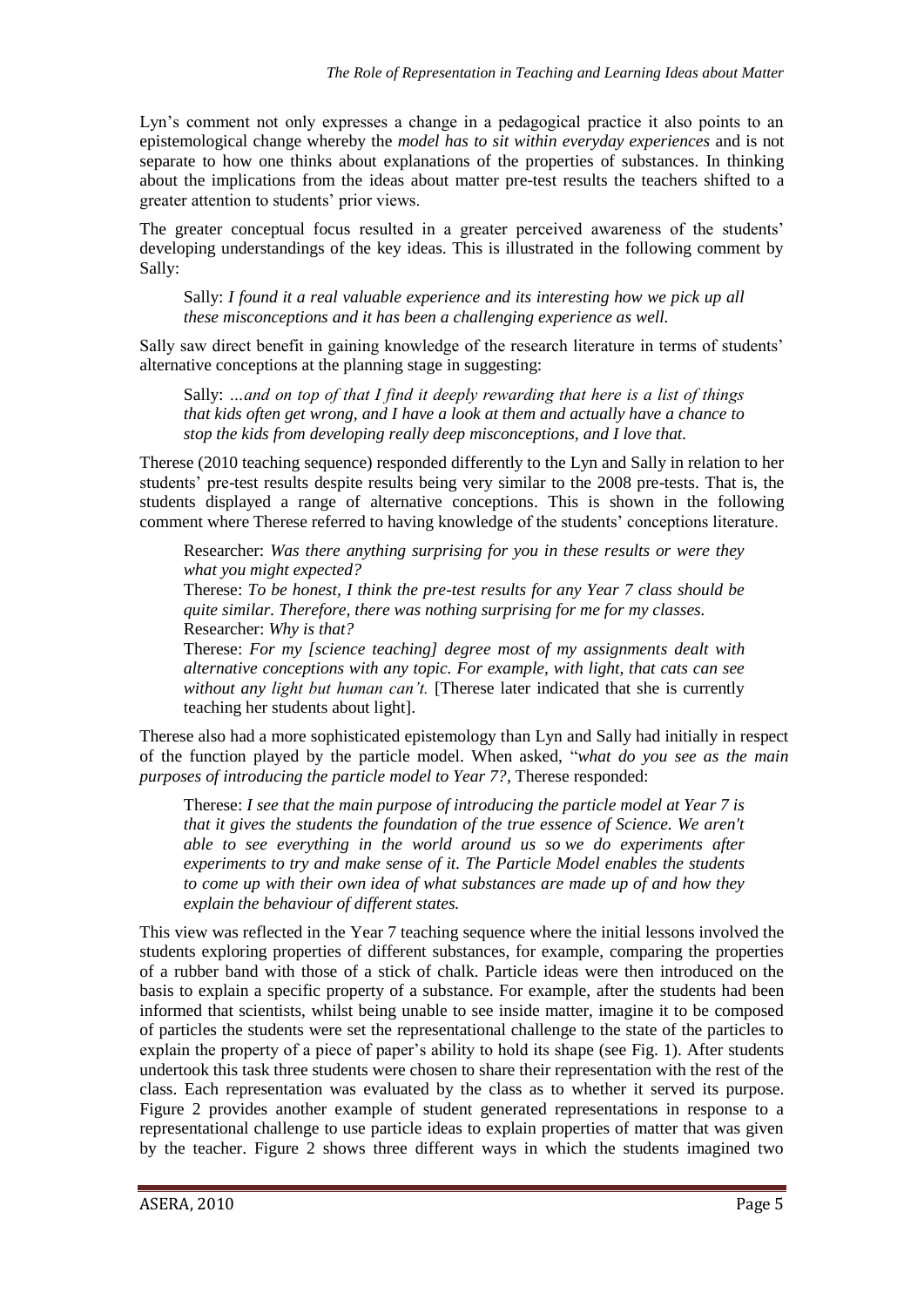Lyn's comment not only expresses a change in a pedagogical practice it also points to an epistemological change whereby the *model has to sit within everyday experiences* and is not separate to how one thinks about explanations of the properties of substances. In thinking about the implications from the ideas about matter pre-test results the teachers shifted to a greater attention to students' prior views.

The greater conceptual focus resulted in a greater perceived awareness of the students' developing understandings of the key ideas. This is illustrated in the following comment by Sally:

Sally: *I found it a real valuable experience and its interesting how we pick up all these misconceptions and it has been a challenging experience as well.*

Sally saw direct benefit in gaining knowledge of the research literature in terms of students' alternative conceptions at the planning stage in suggesting:

Sally: *…and on top of that I find it deeply rewarding that here is a list of things that kids often get wrong, and I have a look at them and actually have a chance to stop the kids from developing really deep misconceptions, and I love that.*

Therese (2010 teaching sequence) responded differently to the Lyn and Sally in relation to her students' pre-test results despite results being very similar to the 2008 pre-tests. That is, the students displayed a range of alternative conceptions. This is shown in the following comment where Therese referred to having knowledge of the students' conceptions literature.

Researcher: *Was there anything surprising for you in these results or were they what you might expected?*

Therese: *To be honest, I think the pre-test results for any Year 7 class should be quite similar. Therefore, there was nothing surprising for me for my classes.* Researcher: *Why is that?*

Therese: *For my [science teaching] degree most of my assignments dealt with alternative conceptions with any topic. For example, with light, that cats can see without any light but human can't.* [Therese later indicated that she is currently teaching her students about light].

Therese also had a more sophisticated epistemology than Lyn and Sally had initially in respect of the function played by the particle model. When asked, "*what do you see as the main purposes of introducing the particle model to Year 7?,* Therese responded:

Therese: *I see that the main purpose of introducing the particle model at Year 7 is that it gives the students the foundation of the true essence of Science. We aren't able to see everything in the world around us so we do experiments after experiments to try and make sense of it. The Particle Model enables the students to come up with their own idea of what substances are made up of and how they explain the behaviour of different states.*

This view was reflected in the Year 7 teaching sequence where the initial lessons involved the students exploring properties of different substances, for example, comparing the properties of a rubber band with those of a stick of chalk. Particle ideas were then introduced on the basis to explain a specific property of a substance. For example, after the students had been informed that scientists, whilst being unable to see inside matter, imagine it to be composed of particles the students were set the representational challenge to the state of the particles to explain the property of a piece of paper's ability to hold its shape (see Fig. 1). After students undertook this task three students were chosen to share their representation with the rest of the class. Each representation was evaluated by the class as to whether it served its purpose. Figure 2 provides another example of student generated representations in response to a representational challenge to use particle ideas to explain properties of matter that was given by the teacher. Figure 2 shows three different ways in which the students imagined two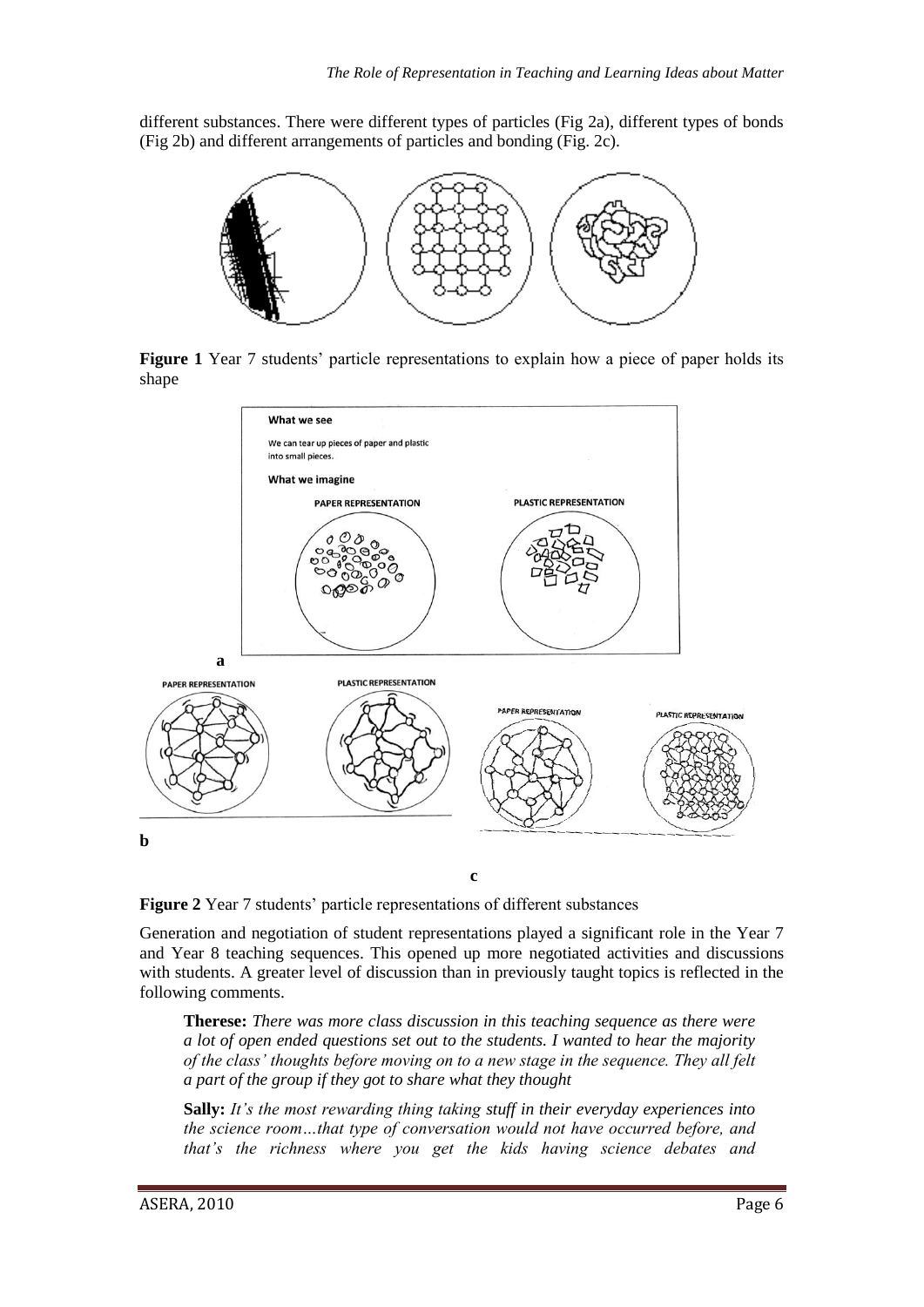different substances. There were different types of particles (Fig 2a), different types of bonds (Fig 2b) and different arrangements of particles and bonding (Fig. 2c).



**Figure 1** Year 7 students' particle representations to explain how a piece of paper holds its shape



**c**

**Figure 2** Year 7 students' particle representations of different substances

Generation and negotiation of student representations played a significant role in the Year 7 and Year 8 teaching sequences. This opened up more negotiated activities and discussions with students. A greater level of discussion than in previously taught topics is reflected in the following comments.

**Therese:** *There was more class discussion in this teaching sequence as there were a lot of open ended questions set out to the students. I wanted to hear the majority of the class' thoughts before moving on to a new stage in the sequence. They all felt a part of the group if they got to share what they thought*

**Sally:** *It's the most rewarding thing taking stuff in their everyday experiences into the science room…that type of conversation would not have occurred before, and that's the richness where you get the kids having science debates and*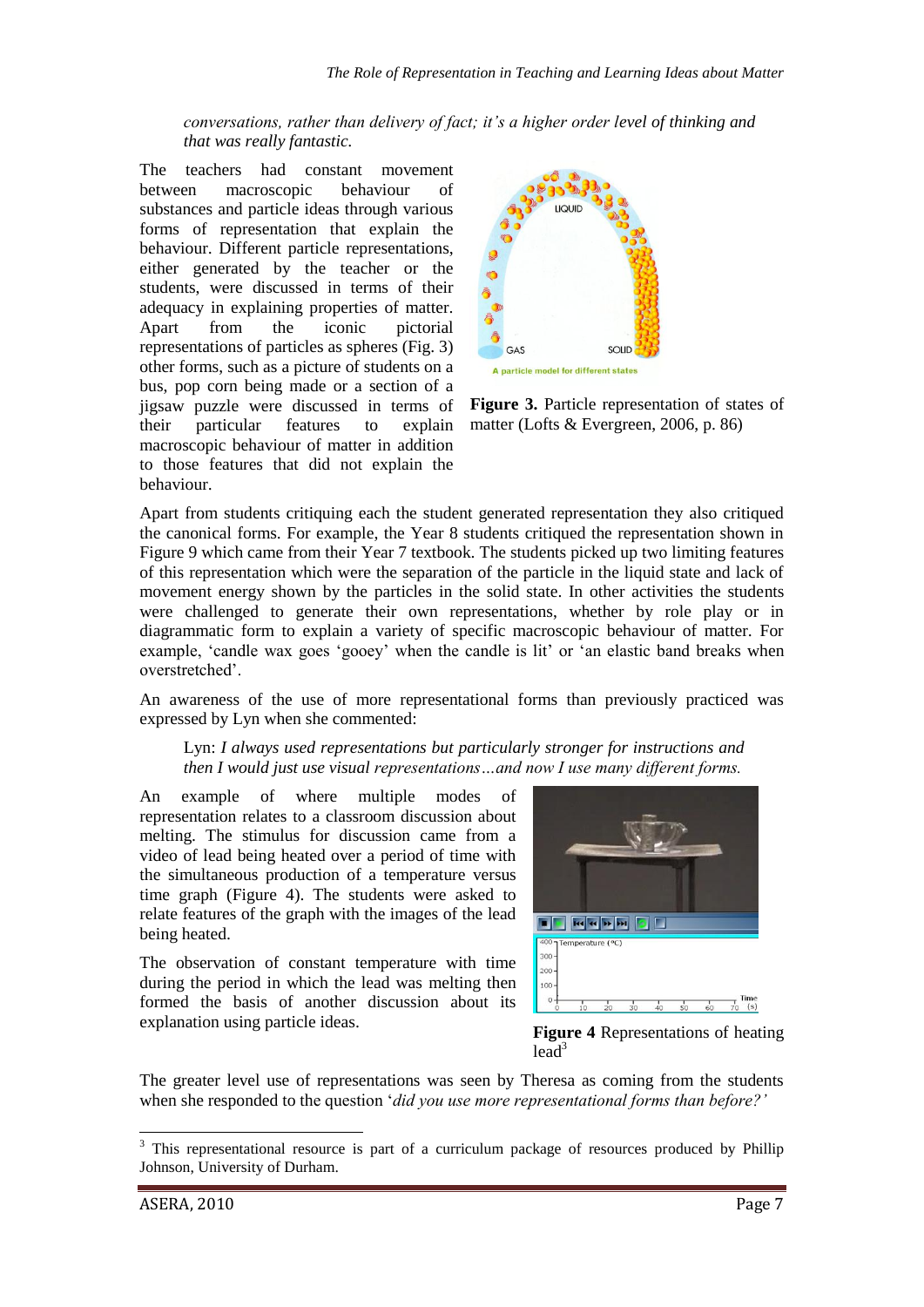*conversations, rather than delivery of fact; it's a higher order level of thinking and that was really fantastic.*

The teachers had constant movement between macroscopic behaviour of substances and particle ideas through various forms of representation that explain the behaviour. Different particle representations, either generated by the teacher or the students, were discussed in terms of their adequacy in explaining properties of matter. Apart from the iconic pictorial representations of particles as spheres (Fig. 3) other forms, such as a picture of students on a bus, pop corn being made or a section of a jigsaw puzzle were discussed in terms of their particular features to explain macroscopic behaviour of matter in addition to those features that did not explain the behaviour.



**Figure 3.** Particle representation of states of matter (Lofts & Evergreen, 2006, p. 86)

Apart from students critiquing each the student generated representation they also critiqued the canonical forms. For example, the Year 8 students critiqued the representation shown in Figure 9 which came from their Year 7 textbook. The students picked up two limiting features of this representation which were the separation of the particle in the liquid state and lack of movement energy shown by the particles in the solid state. In other activities the students were challenged to generate their own representations, whether by role play or in diagrammatic form to explain a variety of specific macroscopic behaviour of matter. For example, 'candle wax goes 'gooey' when the candle is lit' or 'an elastic band breaks when overstretched'.

An awareness of the use of more representational forms than previously practiced was expressed by Lyn when she commented:

#### Lyn: *I always used representations but particularly stronger for instructions and then I would just use visual representations…and now I use many different forms.*

An example of where multiple modes of representation relates to a classroom discussion about melting. The stimulus for discussion came from a video of lead being heated over a period of time with the simultaneous production of a temperature versus time graph (Figure 4). The students were asked to relate features of the graph with the images of the lead being heated.

The observation of constant temperature with time during the period in which the lead was melting then formed the basis of another discussion about its explanation using particle ideas. **Figure 4** Representations of heating



 $lead<sup>3</sup>$ 

The greater level use of representations was seen by Theresa as coming from the students when she responded to the question '*did you use more representational forms than before?'*

-

<sup>&</sup>lt;sup>3</sup> This representational resource is part of a curriculum package of resources produced by Phillip Johnson, University of Durham.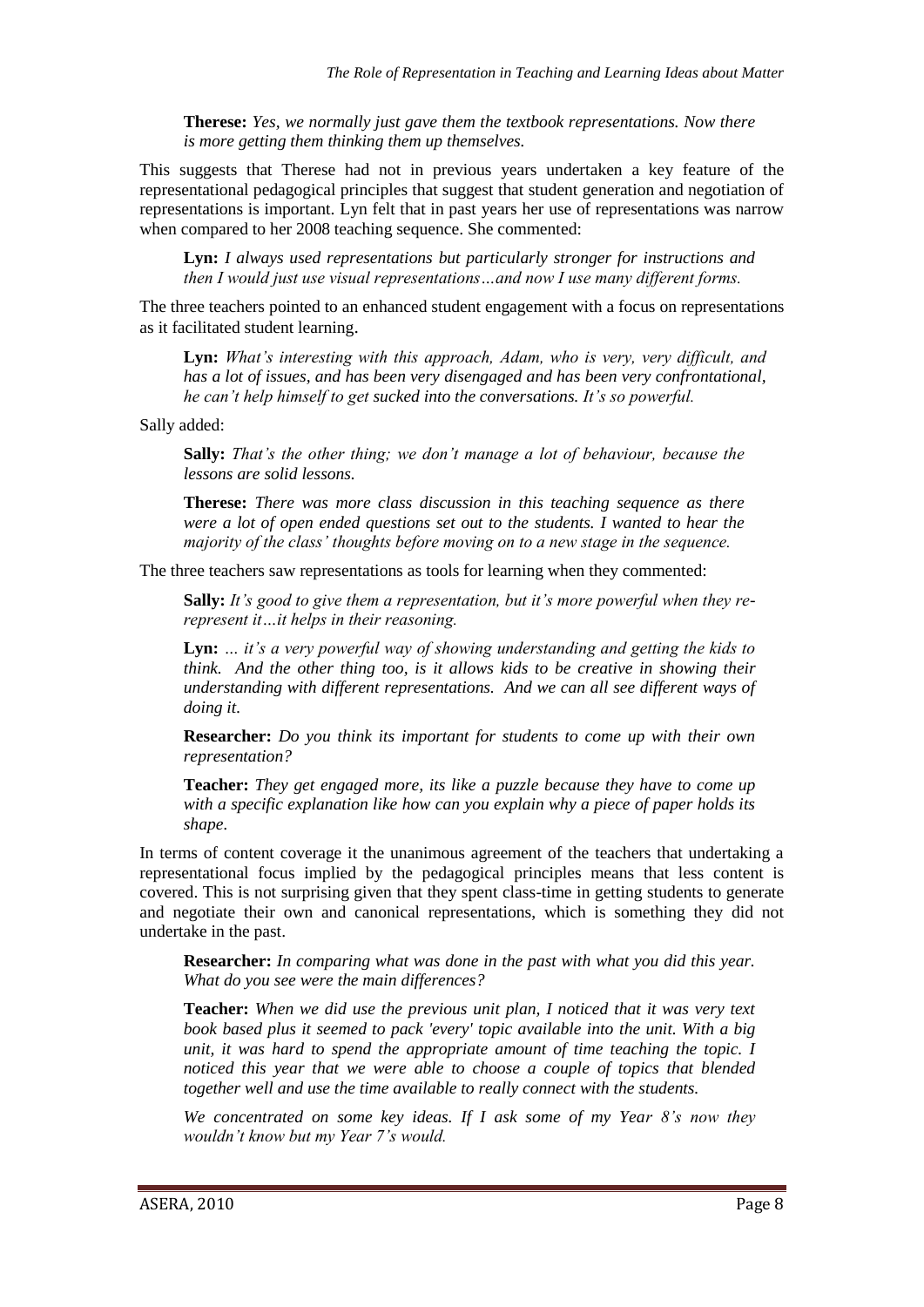**Therese:** *Yes, we normally just gave them the textbook representations. Now there is more getting them thinking them up themselves.*

This suggests that Therese had not in previous years undertaken a key feature of the representational pedagogical principles that suggest that student generation and negotiation of representations is important. Lyn felt that in past years her use of representations was narrow when compared to her 2008 teaching sequence. She commented:

**Lyn:** *I always used representations but particularly stronger for instructions and then I would just use visual representations…and now I use many different forms.*

The three teachers pointed to an enhanced student engagement with a focus on representations as it facilitated student learning.

**Lyn:** *What's interesting with this approach, Adam, who is very, very difficult, and has a lot of issues, and has been very disengaged and has been very confrontational, he can't help himself to get sucked into the conversations. It's so powerful.*

Sally added:

**Sally:** *That's the other thing; we don't manage a lot of behaviour, because the lessons are solid lessons.*

**Therese:** *There was more class discussion in this teaching sequence as there were a lot of open ended questions set out to the students. I wanted to hear the majority of the class' thoughts before moving on to a new stage in the sequence.* 

The three teachers saw representations as tools for learning when they commented:

**Sally:** *It's good to give them a representation, but it's more powerful when they rerepresent it…it helps in their reasoning.*

**Lyn:** *… it's a very powerful way of showing understanding and getting the kids to think. And the other thing too, is it allows kids to be creative in showing their understanding with different representations. And we can all see different ways of doing it.*

**Researcher:** *Do you think its important for students to come up with their own representation?*

**Teacher:** *They get engaged more, its like a puzzle because they have to come up with a specific explanation like how can you explain why a piece of paper holds its shape.*

In terms of content coverage it the unanimous agreement of the teachers that undertaking a representational focus implied by the pedagogical principles means that less content is covered. This is not surprising given that they spent class-time in getting students to generate and negotiate their own and canonical representations, which is something they did not undertake in the past.

**Researcher:** *In comparing what was done in the past with what you did this year. What do you see were the main differences?*

**Teacher:** *When we did use the previous unit plan, I noticed that it was very text book based plus it seemed to pack 'every' topic available into the unit. With a big unit, it was hard to spend the appropriate amount of time teaching the topic. I noticed this year that we were able to choose a couple of topics that blended together well and use the time available to really connect with the students.*

*We concentrated on some key ideas. If I ask some of my Year 8's now they wouldn't know but my Year 7's would.*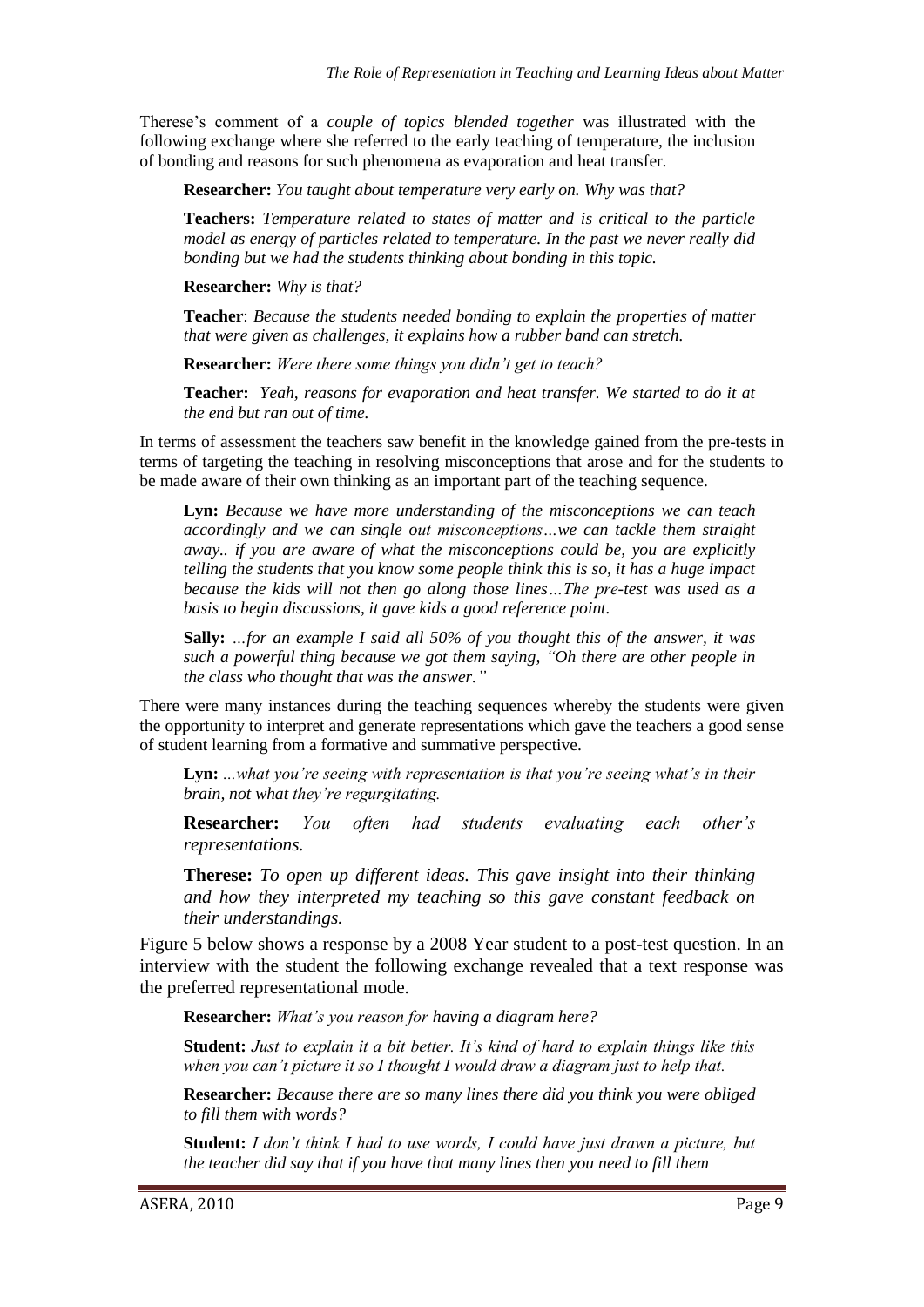Therese's comment of a *couple of topics blended together* was illustrated with the following exchange where she referred to the early teaching of temperature, the inclusion of bonding and reasons for such phenomena as evaporation and heat transfer.

**Researcher:** *You taught about temperature very early on. Why was that?*

**Teachers:** *Temperature related to states of matter and is critical to the particle model as energy of particles related to temperature. In the past we never really did bonding but we had the students thinking about bonding in this topic.*

**Researcher:** *Why is that?* 

**Teacher**: *Because the students needed bonding to explain the properties of matter that were given as challenges, it explains how a rubber band can stretch.*

**Researcher:** *Were there some things you didn't get to teach?*

**Teacher:** *Yeah, reasons for evaporation and heat transfer. We started to do it at the end but ran out of time.*

In terms of assessment the teachers saw benefit in the knowledge gained from the pre-tests in terms of targeting the teaching in resolving misconceptions that arose and for the students to be made aware of their own thinking as an important part of the teaching sequence.

**Lyn:** *Because we have more understanding of the misconceptions we can teach accordingly and we can single out misconceptions…we can tackle them straight away.. if you are aware of what the misconceptions could be, you are explicitly telling the students that you know some people think this is so, it has a huge impact because the kids will not then go along those lines…The pre-test was used as a basis to begin discussions, it gave kids a good reference point.*

**Sally:** *…for an example I said all 50% of you thought this of the answer, it was such a powerful thing because we got them saying, "Oh there are other people in the class who thought that was the answer."*

There were many instances during the teaching sequences whereby the students were given the opportunity to interpret and generate representations which gave the teachers a good sense of student learning from a formative and summative perspective.

**Lyn:** *...what you're seeing with representation is that you're seeing what's in their brain, not what they're regurgitating.* 

**Researcher:** *You often had students evaluating each other's representations.*

**Therese:** *To open up different ideas. This gave insight into their thinking and how they interpreted my teaching so this gave constant feedback on their understandings.*

Figure 5 below shows a response by a 2008 Year student to a post-test question. In an interview with the student the following exchange revealed that a text response was the preferred representational mode.

**Researcher:** *What's you reason for having a diagram here?*

**Student:** *Just to explain it a bit better. It's kind of hard to explain things like this when you can't picture it so I thought I would draw a diagram just to help that.*

**Researcher:** *Because there are so many lines there did you think you were obliged to fill them with words?*

**Student:** *I don't think I had to use words, I could have just drawn a picture, but the teacher did say that if you have that many lines then you need to fill them*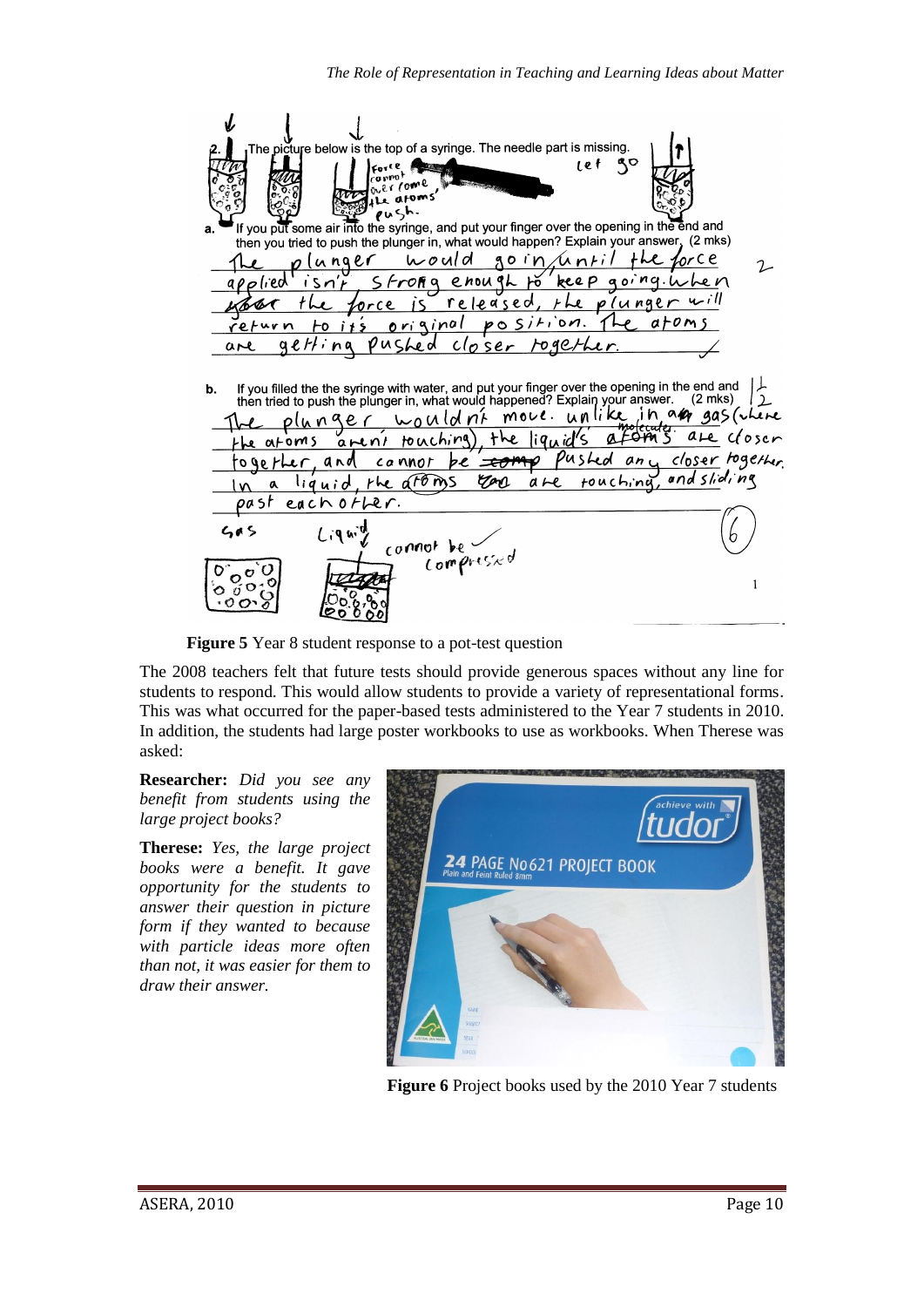

**Figure 5** Year 8 student response to a pot-test question

The 2008 teachers felt that future tests should provide generous spaces without any line for students to respond. This would allow students to provide a variety of representational forms. This was what occurred for the paper-based tests administered to the Year 7 students in 2010. In addition, the students had large poster workbooks to use as workbooks. When Therese was asked:

**Researcher:** *Did you see any benefit from students using the large project books?*

**Therese:** *Yes, the large project books were a benefit. It gave opportunity for the students to answer their question in picture form if they wanted to because with particle ideas more often than not, it was easier for them to draw their answer.*



**Figure 6** Project books used by the 2010 Year 7 students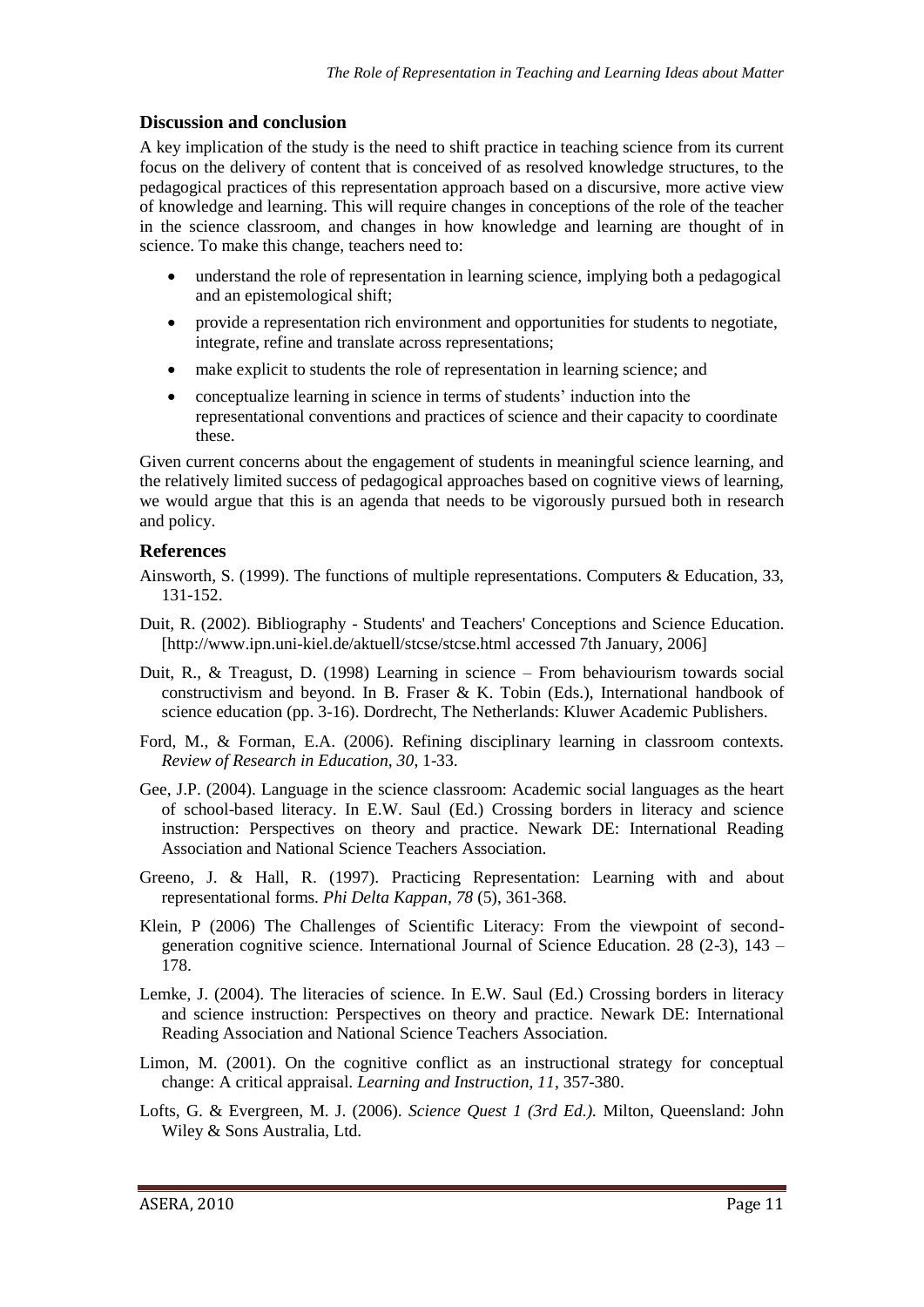#### **Discussion and conclusion**

A key implication of the study is the need to shift practice in teaching science from its current focus on the delivery of content that is conceived of as resolved knowledge structures, to the pedagogical practices of this representation approach based on a discursive, more active view of knowledge and learning. This will require changes in conceptions of the role of the teacher in the science classroom, and changes in how knowledge and learning are thought of in science. To make this change, teachers need to:

- understand the role of representation in learning science, implying both a pedagogical and an epistemological shift;
- provide a representation rich environment and opportunities for students to negotiate, integrate, refine and translate across representations;
- make explicit to students the role of representation in learning science; and
- conceptualize learning in science in terms of students' induction into the representational conventions and practices of science and their capacity to coordinate these.

Given current concerns about the engagement of students in meaningful science learning, and the relatively limited success of pedagogical approaches based on cognitive views of learning, we would argue that this is an agenda that needs to be vigorously pursued both in research and policy.

#### **References**

- Ainsworth, S. (1999). The functions of multiple representations. Computers & Education, 33, 131-152.
- Duit, R. (2002). Bibliography Students' and Teachers' Conceptions and Science Education. [http://www.ipn.uni-kiel.de/aktuell/stcse/stcse.html accessed 7th January, 2006]
- Duit, R., & Treagust, D. (1998) Learning in science From behaviourism towards social constructivism and beyond. In B. Fraser & K. Tobin (Eds.), International handbook of science education (pp. 3-16). Dordrecht, The Netherlands: Kluwer Academic Publishers.
- Ford, M., & Forman, E.A. (2006). Refining disciplinary learning in classroom contexts. *Review of Research in Education, 30*, 1-33.
- Gee, J.P. (2004). Language in the science classroom: Academic social languages as the heart of school-based literacy. In E.W. Saul (Ed.) Crossing borders in literacy and science instruction: Perspectives on theory and practice. Newark DE: International Reading Association and National Science Teachers Association.
- Greeno, J. & Hall, R. (1997). Practicing Representation: Learning with and about representational forms. *Phi Delta Kappan, 78* (5), 361-368.
- Klein, P (2006) The Challenges of Scientific Literacy: From the viewpoint of secondgeneration cognitive science. International Journal of Science Education. 28 (2-3),  $143 -$ 178.
- Lemke, J. (2004). The literacies of science. In E.W. Saul (Ed.) Crossing borders in literacy and science instruction: Perspectives on theory and practice. Newark DE: International Reading Association and National Science Teachers Association.
- Limon, M. (2001). On the cognitive conflict as an instructional strategy for conceptual change: A critical appraisal. *Learning and Instruction, 11*, 357-380.
- Lofts, G. & Evergreen, M. J. (2006). *Science Quest 1 (3rd Ed.).* Milton, Queensland: John Wiley & Sons Australia, Ltd.